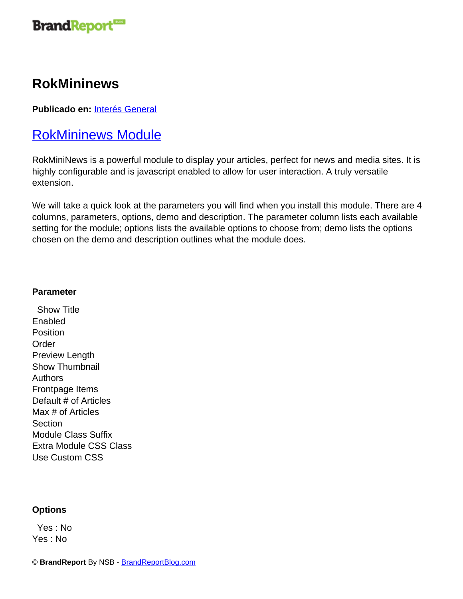

## **RokMininews**

**Publicado en:** [Interés General](http://www.brandreportblog.com/articulos/interes-general/)

### RokMininews Module

RokMiniNews is a powerful module to display your articles, perfect for news and media sites. It is highly configurable and is javascript enabled to allow for user interaction. A truly versatile extension.

We will take a quick look at the parameters you will find when you install this module. There are 4 columns, parameters, options, demo and description. The parameter column lists each available setting for the module; options lists the available options to choose from; demo lists the options chosen on the demo and description outlines what the module does.

#### **Parameter**

 Show Title **Enabled** Position Order Preview Length Show Thumbnail Authors Frontpage Items Default # of Articles Max # of Articles **Section** Module Class Suffix Extra Module CSS Class Use Custom CSS

#### **Options**

 Yes : No Yes : No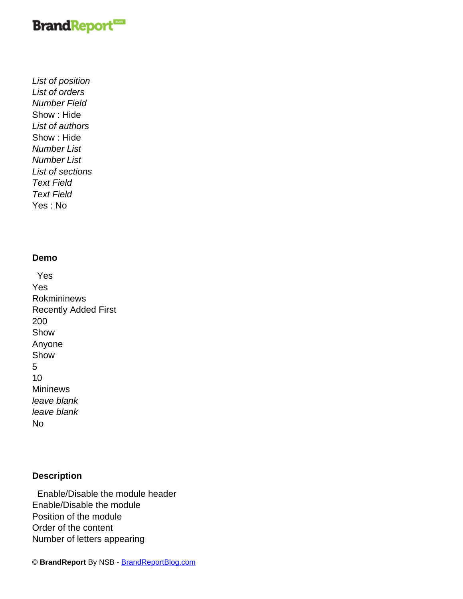# **BrandReport**

List of position List of orders Number Field Show : Hide List of authors Show : Hide Number List Number List List of sections Text Field Text Field Yes : No

#### **Demo**

 Yes Yes Rokmininews Recently Added First 200 Show Anyone Show 5 10 Mininews leave blank leave blank No

### **Description**

 Enable/Disable the module header Enable/Disable the module Position of the module Order of the content Number of letters appearing